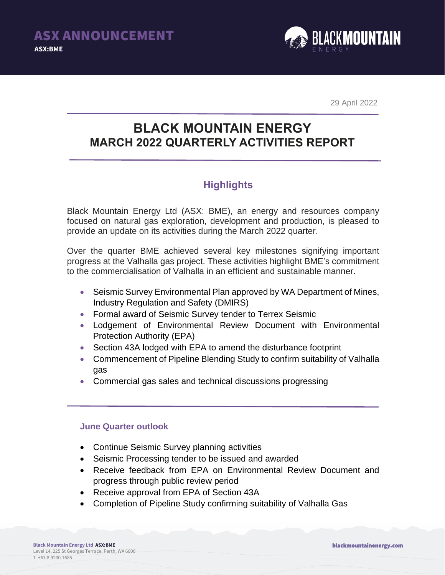

29 April 2022

# **BLACK MOUNTAIN ENERGY MARCH 2022 QUARTERLY ACTIVITIES REPORT**

### **Highlights**

Black Mountain Energy Ltd (ASX: BME), an energy and resources company focused on natural gas exploration, development and production, is pleased to provide an update on its activities during the March 2022 quarter.

Over the quarter BME achieved several key milestones signifying important progress at the Valhalla gas project. These activities highlight BME's commitment to the commercialisation of Valhalla in an efficient and sustainable manner.

- Seismic Survey Environmental Plan approved by WA Department of Mines, Industry Regulation and Safety (DMIRS)
- Formal award of Seismic Survey tender to Terrex Seismic
- Lodgement of Environmental Review Document with Environmental Protection Authority (EPA)
- Section 43A lodged with EPA to amend the disturbance footprint
- Commencement of Pipeline Blending Study to confirm suitability of Valhalla gas
- Commercial gas sales and technical discussions progressing

### **June Quarter outlook**

- Continue Seismic Survey planning activities
- Seismic Processing tender to be issued and awarded
- Receive feedback from EPA on Environmental Review Document and progress through public review period
- Receive approval from EPA of Section 43A
- Completion of Pipeline Study confirming suitability of Valhalla Gas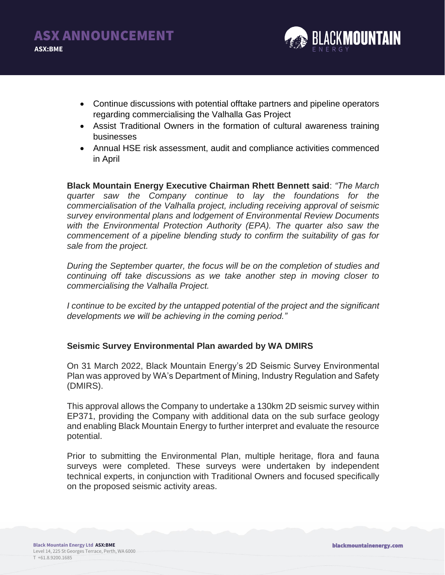

- Continue discussions with potential offtake partners and pipeline operators regarding commercialising the Valhalla Gas Project
- Assist Traditional Owners in the formation of cultural awareness training businesses
- Annual HSE risk assessment, audit and compliance activities commenced in April

**Black Mountain Energy Executive Chairman Rhett Bennett said**: *"The March quarter saw the Company continue to lay the foundations for the commercialisation of the Valhalla project, including receiving approval of seismic survey environmental plans and lodgement of Environmental Review Documents with the Environmental Protection Authority (EPA). The quarter also saw the commencement of a pipeline blending study to confirm the suitability of gas for sale from the project.*

*During the September quarter, the focus will be on the completion of studies and continuing off take discussions as we take another step in moving closer to commercialising the Valhalla Project.* 

*I continue to be excited by the untapped potential of the project and the significant developments we will be achieving in the coming period."*

### **Seismic Survey Environmental Plan awarded by WA DMIRS**

On 31 March 2022, Black Mountain Energy's 2D Seismic Survey Environmental Plan was approved by WA's Department of Mining, Industry Regulation and Safety (DMIRS).

This approval allows the Company to undertake a 130km 2D seismic survey within EP371, providing the Company with additional data on the sub surface geology and enabling Black Mountain Energy to further interpret and evaluate the resource potential.

Prior to submitting the Environmental Plan, multiple heritage, flora and fauna surveys were completed. These surveys were undertaken by independent technical experts, in conjunction with Traditional Owners and focused specifically on the proposed seismic activity areas.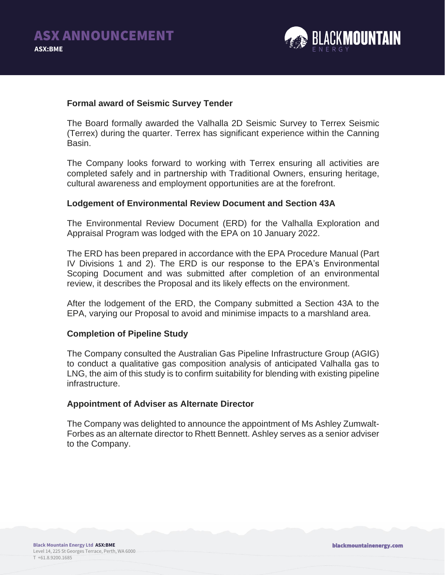

#### **Formal award of Seismic Survey Tender**

The Board formally awarded the Valhalla 2D Seismic Survey to Terrex Seismic (Terrex) during the quarter. Terrex has significant experience within the Canning Basin.

The Company looks forward to working with Terrex ensuring all activities are completed safely and in partnership with Traditional Owners, ensuring heritage, cultural awareness and employment opportunities are at the forefront.

#### **Lodgement of Environmental Review Document and Section 43A**

The Environmental Review Document (ERD) for the Valhalla Exploration and Appraisal Program was lodged with the EPA on 10 January 2022.

The ERD has been prepared in accordance with the EPA Procedure Manual (Part IV Divisions 1 and 2). The ERD is our response to the EPA's Environmental Scoping Document and was submitted after completion of an environmental review, it describes the Proposal and its likely effects on the environment.

After the lodgement of the ERD, the Company submitted a Section 43A to the EPA, varying our Proposal to avoid and minimise impacts to a marshland area.

#### **Completion of Pipeline Study**

The Company consulted the Australian Gas Pipeline Infrastructure Group (AGIG) to conduct a qualitative gas composition analysis of anticipated Valhalla gas to LNG, the aim of this study is to confirm suitability for blending with existing pipeline infrastructure.

#### **Appointment of Adviser as Alternate Director**

The Company was delighted to announce the appointment of Ms Ashley Zumwalt-Forbes as an alternate director to Rhett Bennett. Ashley serves as a senior adviser to the Company.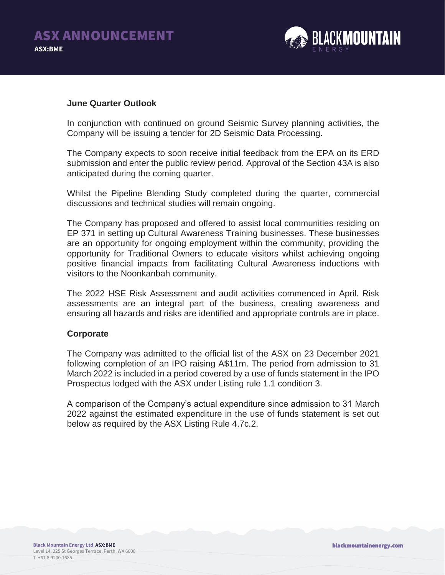

#### **June Quarter Outlook**

In conjunction with continued on ground Seismic Survey planning activities, the Company will be issuing a tender for 2D Seismic Data Processing.

The Company expects to soon receive initial feedback from the EPA on its ERD submission and enter the public review period. Approval of the Section 43A is also anticipated during the coming quarter.

Whilst the Pipeline Blending Study completed during the quarter, commercial discussions and technical studies will remain ongoing.

The Company has proposed and offered to assist local communities residing on EP 371 in setting up Cultural Awareness Training businesses. These businesses are an opportunity for ongoing employment within the community, providing the opportunity for Traditional Owners to educate visitors whilst achieving ongoing positive financial impacts from facilitating Cultural Awareness inductions with visitors to the Noonkanbah community.

The 2022 HSE Risk Assessment and audit activities commenced in April. Risk assessments are an integral part of the business, creating awareness and ensuring all hazards and risks are identified and appropriate controls are in place.

#### **Corporate**

The Company was admitted to the official list of the ASX on 23 December 2021 following completion of an IPO raising A\$11m. The period from admission to 31 March 2022 is included in a period covered by a use of funds statement in the IPO Prospectus lodged with the ASX under Listing rule 1.1 condition 3.

A comparison of the Company's actual expenditure since admission to 31 March 2022 against the estimated expenditure in the use of funds statement is set out below as required by the ASX Listing Rule 4.7c.2.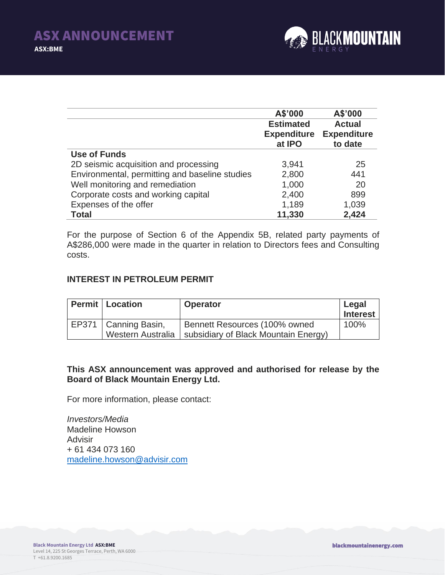

|                                                | A\$'000            | A\$'000            |
|------------------------------------------------|--------------------|--------------------|
|                                                | <b>Estimated</b>   | <b>Actual</b>      |
|                                                | <b>Expenditure</b> | <b>Expenditure</b> |
|                                                | at IPO             | to date            |
| Use of Funds                                   |                    |                    |
| 2D seismic acquisition and processing          | 3,941              | 25                 |
| Environmental, permitting and baseline studies | 2,800              | 441                |
| Well monitoring and remediation                | 1,000              | 20                 |
| Corporate costs and working capital            | 2,400              | 899                |
| Expenses of the offer                          | 1,189              | 1,039              |
| <b>Total</b>                                   | 11,330             | 2,424              |

For the purpose of Section 6 of the Appendix 5B, related party payments of A\$286,000 were made in the quarter in relation to Directors fees and Consulting costs.

#### **INTEREST IN PETROLEUM PERMIT**

| <b>Permit   Location</b>                    | <b>Operator</b>                                                       | Legal<br><b>Interest</b> |
|---------------------------------------------|-----------------------------------------------------------------------|--------------------------|
| EP371   Canning Basin,<br>Western Australia | Bennett Resources (100% owned<br>subsidiary of Black Mountain Energy) | 100%                     |

#### **This ASX announcement was approved and authorised for release by the Board of Black Mountain Energy Ltd.**

For more information, please contact:

*Investors/Media* Madeline Howson **Advisir** + 61 434 073 160 [madeline.howson@advisir.com](mailto:madeline.howson@advisir.com)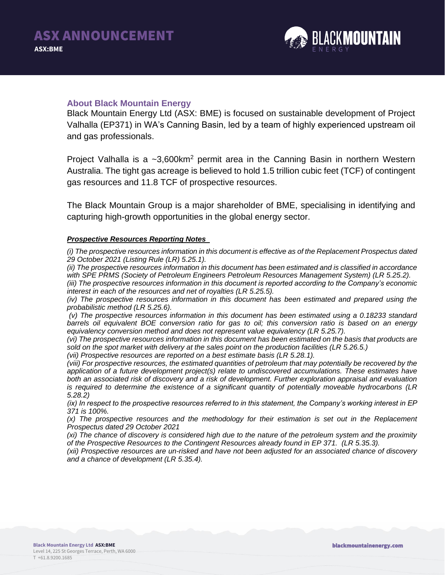

#### **About Black Mountain Energy**

Black Mountain Energy Ltd (ASX: BME) is focused on sustainable development of Project Valhalla (EP371) in WA's Canning Basin, led by a team of highly experienced upstream oil and gas professionals.

Project Valhalla is a  $\sim 3,600 \text{km}^2$  permit area in the Canning Basin in northern Western Australia. The tight gas acreage is believed to hold 1.5 trillion cubic feet (TCF) of contingent gas resources and 11.8 TCF of prospective resources.

The Black Mountain Group is a major shareholder of BME, specialising in identifying and capturing high-growth opportunities in the global energy sector.

#### *Prospective Resources Reporting Notes*

*(i) The prospective resources information in this document is effective as of the Replacement Prospectus dated 29 October 2021 (Listing Rule (LR) 5.25.1).* 

*(ii) The prospective resources information in this document has been estimated and is classified in accordance*  with SPE PRMS (Society of Petroleum Engineers Petroleum Resources Management System) (LR 5.25.2).

*(iii) The prospective resources information in this document is reported according to the Company's economic interest in each of the resources and net of royalties (LR 5.25.5).* 

*(iv) The prospective resources information in this document has been estimated and prepared using the probabilistic method (LR 5.25.6).* 

*(v) The prospective resources information in this document has been estimated using a 0.18233 standard barrels oil equivalent BOE conversion ratio for gas to oil; this conversion ratio is based on an energy equivalency conversion method and does not represent value equivalency (LR 5.25.7).*

*(vi) The prospective resources information in this document has been estimated on the basis that products are sold on the spot market with delivery at the sales point on the production facilities (LR 5.26.5.)* 

*(vii) Prospective resources are reported on a best estimate basis (LR 5.28.1).*

*(viii) For prospective resources, the estimated quantities of petroleum that may potentially be recovered by the application of a future development project(s) relate to undiscovered accumulations. These estimates have both an associated risk of discovery and a risk of development. Further exploration appraisal and evaluation is required to determine the existence of a significant quantity of potentially moveable hydrocarbons (LR 5.28.2)*

*(ix) In respect to the prospective resources referred to in this statement, the Company's working interest in EP 371 is 100%.* 

*(x) The prospective resources and the methodology for their estimation is set out in the Replacement Prospectus dated 29 October 2021*

*(xi) The chance of discovery is considered high due to the nature of the petroleum system and the proximity of the Prospective Resources to the Contingent Resources already found in EP 371. (LR 5.35.3).*

*(xii) Prospective resources are un-risked and have not been adjusted for an associated chance of discovery and a chance of development (LR 5.35.4).*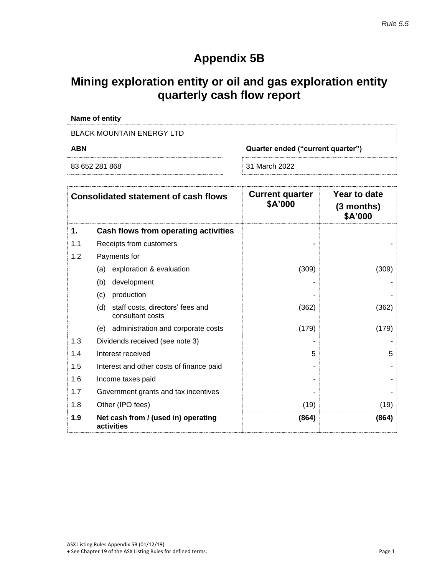## **Appendix 5B**

### **Mining exploration entity or oil and gas exploration entity quarterly cash flow report**

|            | Name of entity                                              |                                   |                                       |
|------------|-------------------------------------------------------------|-----------------------------------|---------------------------------------|
|            | <b>BLACK MOUNTAIN ENERGY LTD</b>                            |                                   |                                       |
| <b>ABN</b> | Quarter ended ("current quarter")                           |                                   |                                       |
|            | 83 652 281 868                                              | 31 March 2022                     |                                       |
|            | <b>Consolidated statement of cash flows</b>                 | <b>Current quarter</b><br>\$A'000 | Year to date<br>(3 months)<br>\$A'000 |
| 1.         | Cash flows from operating activities                        |                                   |                                       |
| 1.1        | Receipts from customers                                     |                                   |                                       |
| 1.2        | Payments for                                                |                                   |                                       |
|            | exploration & evaluation<br>(a)                             | (309)                             | (309)                                 |
|            | development<br>(b)                                          |                                   |                                       |
|            | production<br>(c)                                           |                                   |                                       |
|            | staff costs, directors' fees and<br>(d)<br>consultant costs | (362)                             | (362)                                 |
|            | (e) administration and corporate costs                      | (179)                             | (179)                                 |
| 1.3        | Dividends received (see note 3)                             |                                   |                                       |
| 1.4        | Interest received                                           | 5                                 | 5                                     |
| 1.5        | Interest and other costs of finance paid                    |                                   |                                       |
| 1.6        | Income taxes paid                                           |                                   |                                       |
| 1.7        | Government grants and tax incentives                        |                                   |                                       |
| 1.8        | Other (IPO fees)                                            | (19)                              | (19)                                  |
| 1.9        | Net cash from / (used in) operating<br>activities           | (864)                             | (864)                                 |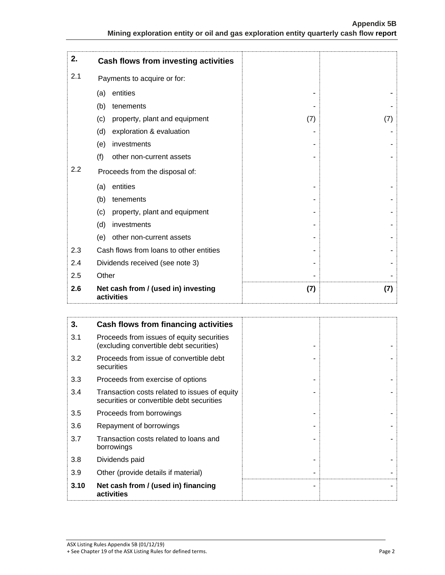| 2.  | Cash flows from investing activities              |     |     |
|-----|---------------------------------------------------|-----|-----|
| 2.1 | Payments to acquire or for:                       |     |     |
|     | entities<br>(a)                                   |     |     |
|     | (b)<br>tenements                                  |     |     |
|     | (c)<br>property, plant and equipment              | (7) | (7) |
|     | (d)<br>exploration & evaluation                   |     |     |
|     | investments<br>(e)                                |     |     |
|     | (f)<br>other non-current assets                   |     |     |
| 2.2 | Proceeds from the disposal of:                    |     |     |
|     | entities<br>(a)                                   |     |     |
|     | (b)<br>tenements                                  |     |     |
|     | (c)<br>property, plant and equipment              |     |     |
|     | (d)<br>investments                                |     |     |
|     | other non-current assets<br>(e)                   |     |     |
| 2.3 | Cash flows from loans to other entities           |     |     |
| 2.4 | Dividends received (see note 3)                   |     |     |
| 2.5 | Other                                             |     |     |
| 2.6 | Net cash from / (used in) investing<br>activities | (7) | (7) |

| 3.   | Cash flows from financing activities                                                       |  |  |
|------|--------------------------------------------------------------------------------------------|--|--|
| 3.1  | Proceeds from issues of equity securities<br>(excluding convertible debt securities)       |  |  |
| 3.2  | Proceeds from issue of convertible debt<br>securities                                      |  |  |
| 3.3  | Proceeds from exercise of options                                                          |  |  |
| 3.4  | Transaction costs related to issues of equity<br>securities or convertible debt securities |  |  |
| 3.5  | Proceeds from borrowings                                                                   |  |  |
| 3.6  | Repayment of borrowings                                                                    |  |  |
| 3.7  | Transaction costs related to loans and<br>borrowings                                       |  |  |
| 3.8  | Dividends paid                                                                             |  |  |
| 3.9  | Other (provide details if material)                                                        |  |  |
| 3.10 | Net cash from / (used in) financing<br>activities                                          |  |  |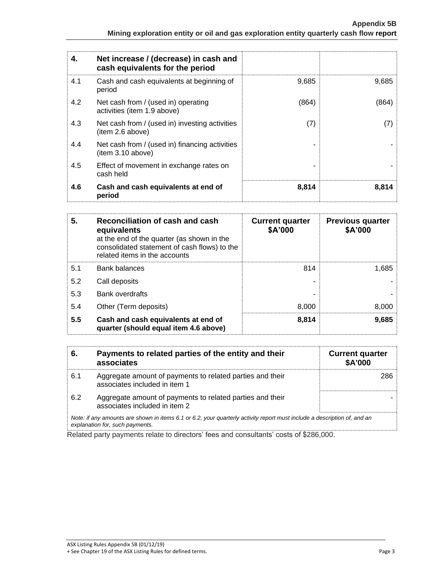| 4.  | Net increase / (decrease) in cash and<br>cash equivalents for the period |       |       |
|-----|--------------------------------------------------------------------------|-------|-------|
| 4.1 | Cash and cash equivalents at beginning of<br>period                      | 9,685 | 9,685 |
| 4.2 | Net cash from / (used in) operating<br>activities (item 1.9 above)       | (864) | (864) |
| 4.3 | Net cash from / (used in) investing activities<br>(item 2.6 above)       | (7)   | (7)   |
| 4.4 | Net cash from / (used in) financing activities<br>item 3.10 above)       |       |       |
| 4.5 | Effect of movement in exchange rates on<br>cash held                     |       |       |
| 4.6 | Cash and cash equivalents at end of<br>period                            | 8,814 | 8,814 |

| 5.  | Reconciliation of cash and cash<br>equivalents<br>at the end of the quarter (as shown in the<br>consolidated statement of cash flows) to the<br>related items in the accounts | <b>Current quarter</b><br>\$A'000 | <b>Previous quarter</b><br>\$A'000 |
|-----|-------------------------------------------------------------------------------------------------------------------------------------------------------------------------------|-----------------------------------|------------------------------------|
| 5.1 | <b>Bank balances</b>                                                                                                                                                          | 814                               | 1,685                              |
| 5.2 | Call deposits                                                                                                                                                                 |                                   |                                    |
| 5.3 | Bank overdrafts                                                                                                                                                               |                                   |                                    |
| 5.4 | Other (Term deposits)                                                                                                                                                         | 8.000                             | 8,000                              |
| 5.5 | Cash and cash equivalents at end of<br>quarter (should equal item 4.6 above)                                                                                                  | 8,814                             | 9,685                              |

| 6.                                                                                                                                                          | Payments to related parties of the entity and their<br>associates                          | <b>Current quarter</b><br><b>\$A'000</b> |
|-------------------------------------------------------------------------------------------------------------------------------------------------------------|--------------------------------------------------------------------------------------------|------------------------------------------|
| 6.1                                                                                                                                                         | Aggregate amount of payments to related parties and their<br>associates included in item 1 | 286                                      |
| 6.2                                                                                                                                                         | Aggregate amount of payments to related parties and their<br>associates included in item 2 |                                          |
| Note: if any amounts are shown in items 6.1 or 6.2, your quarterly activity report must include a description of, and an<br>explanation for, such payments. |                                                                                            |                                          |

Related party payments relate to directors' fees and consultants' costs of \$286,000.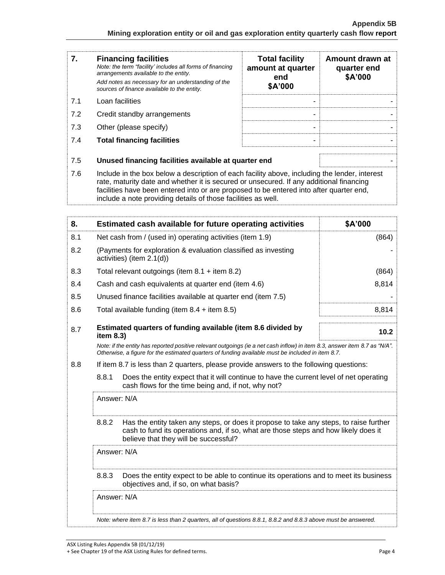| 7.  | <b>Financing facilities</b><br>Note: the term "facility' includes all forms of financing<br>arrangements available to the entity.<br>Add notes as necessary for an understanding of the<br>sources of finance available to the entity.                                                                                                               | <b>Total facility</b><br>amount at quarter<br>end<br>\$A'000 | Amount drawn at<br>quarter end<br>\$A'000 |
|-----|------------------------------------------------------------------------------------------------------------------------------------------------------------------------------------------------------------------------------------------------------------------------------------------------------------------------------------------------------|--------------------------------------------------------------|-------------------------------------------|
| 7.1 | Loan facilities                                                                                                                                                                                                                                                                                                                                      |                                                              |                                           |
| 7.2 | Credit standby arrangements                                                                                                                                                                                                                                                                                                                          |                                                              |                                           |
| 7.3 | Other (please specify)                                                                                                                                                                                                                                                                                                                               | $\overline{\phantom{0}}$                                     |                                           |
| 7.4 | <b>Total financing facilities</b>                                                                                                                                                                                                                                                                                                                    |                                                              |                                           |
| 7.5 | Unused financing facilities available at quarter end                                                                                                                                                                                                                                                                                                 |                                                              |                                           |
| 7.6 | Include in the box below a description of each facility above, including the lender, interest<br>rate, maturity date and whether it is secured or unsecured. If any additional financing<br>facilities have been entered into or are proposed to be entered into after quarter end,<br>include a note providing details of those facilities as well. |                                                              |                                           |

| 8.          |                                                                                                                                                                                                                                 | Estimated cash available for future operating activities                                                                                                                                                               | \$A'000 |
|-------------|---------------------------------------------------------------------------------------------------------------------------------------------------------------------------------------------------------------------------------|------------------------------------------------------------------------------------------------------------------------------------------------------------------------------------------------------------------------|---------|
| 8.1         |                                                                                                                                                                                                                                 | Net cash from / (used in) operating activities (item 1.9)                                                                                                                                                              | (864)   |
| 8.2         |                                                                                                                                                                                                                                 | (Payments for exploration & evaluation classified as investing<br>activities) (item 2.1(d))                                                                                                                            |         |
| 8.3         |                                                                                                                                                                                                                                 | Total relevant outgoings (item $8.1 +$ item $8.2$ )                                                                                                                                                                    | (864)   |
| 8.4         |                                                                                                                                                                                                                                 | Cash and cash equivalents at quarter end (item 4.6)                                                                                                                                                                    | 8,814   |
| 8.5         |                                                                                                                                                                                                                                 | Unused finance facilities available at quarter end (item 7.5)                                                                                                                                                          |         |
| 8.6         |                                                                                                                                                                                                                                 | Total available funding (item $8.4 +$ item $8.5$ )                                                                                                                                                                     | 8,814   |
| 8.7         | item 8.3)                                                                                                                                                                                                                       | Estimated quarters of funding available (item 8.6 divided by                                                                                                                                                           | 10.2    |
|             | Note: if the entity has reported positive relevant outgoings (ie a net cash inflow) in item 8.3, answer item 8.7 as "N/A".<br>Otherwise, a figure for the estimated quarters of funding available must be included in item 8.7. |                                                                                                                                                                                                                        |         |
| 8.8         | If item 8.7 is less than 2 quarters, please provide answers to the following questions:                                                                                                                                         |                                                                                                                                                                                                                        |         |
|             | 8.8.1<br>cash flows for the time being and, if not, why not?                                                                                                                                                                    | Does the entity expect that it will continue to have the current level of net operating                                                                                                                                |         |
|             | Answer: N/A                                                                                                                                                                                                                     |                                                                                                                                                                                                                        |         |
|             | 8.8.2                                                                                                                                                                                                                           | Has the entity taken any steps, or does it propose to take any steps, to raise further<br>cash to fund its operations and, if so, what are those steps and how likely does it<br>believe that they will be successful? |         |
| Answer: N/A |                                                                                                                                                                                                                                 |                                                                                                                                                                                                                        |         |
|             | 8.8.3                                                                                                                                                                                                                           | Does the entity expect to be able to continue its operations and to meet its business<br>objectives and, if so, on what basis?                                                                                         |         |
|             | Answer: N/A                                                                                                                                                                                                                     |                                                                                                                                                                                                                        |         |
|             |                                                                                                                                                                                                                                 | Note: where item 8.7 is less than 2 quarters, all of questions 8.8.1, 8.8.2 and 8.8.3 above must be answered.                                                                                                          |         |